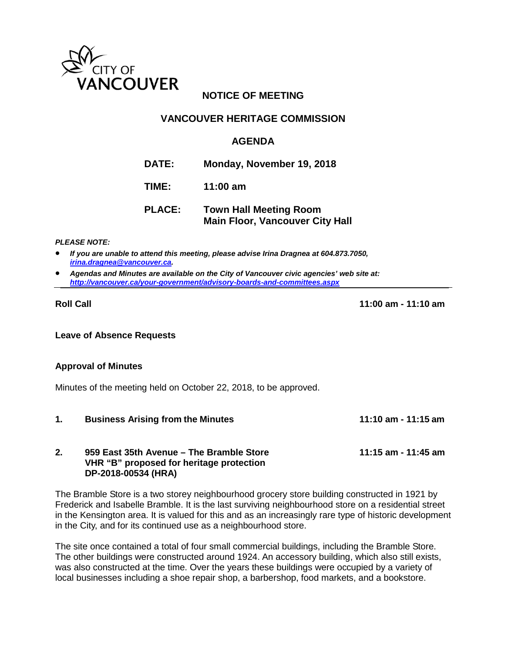

# **NOTICE OF MEETING**

## **VANCOUVER HERITAGE COMMISSION**

## **AGENDA**

**DATE: Monday, November 19, 2018**

**TIME: 11:00 am**

# **PLACE: Town Hall Meeting Room Main Floor, Vancouver City Hall**

#### *PLEASE NOTE:*

- *If you are unable to attend this meeting, please advise Irina Dragnea at 604.873.7050, [irina.dragnea@vancouver.ca.](mailto:irina.dragnea@vancouver.ca)*
- *Agendas and Minutes are available on the City of Vancouver civic agencies' web site at: <http://vancouver.ca/your-government/advisory-boards-and-committees.aspx>*

**Roll Call 11:00 am - 11:10 am**

**Leave of Absence Requests** 

### **Approval of Minutes**

Minutes of the meeting held on October 22, 2018, to be approved.

**1. Business Arising from the Minutes 11:10 am - 11:15 am**

#### **2. 959 East 35th Avenue – The Bramble Store 11:15 am - 11:45 am VHR "B" proposed for heritage protection DP-2018-00534 (HRA)**

The Bramble Store is a two storey neighbourhood grocery store building constructed in 1921 by Frederick and Isabelle Bramble. It is the last surviving neighbourhood store on a residential street in the Kensington area. It is valued for this and as an increasingly rare type of historic development in the City, and for its continued use as a neighbourhood store.

The site once contained a total of four small commercial buildings, including the Bramble Store. The other buildings were constructed around 1924. An accessory building, which also still exists, was also constructed at the time. Over the years these buildings were occupied by a variety of local businesses including a shoe repair shop, a barbershop, food markets, and a bookstore.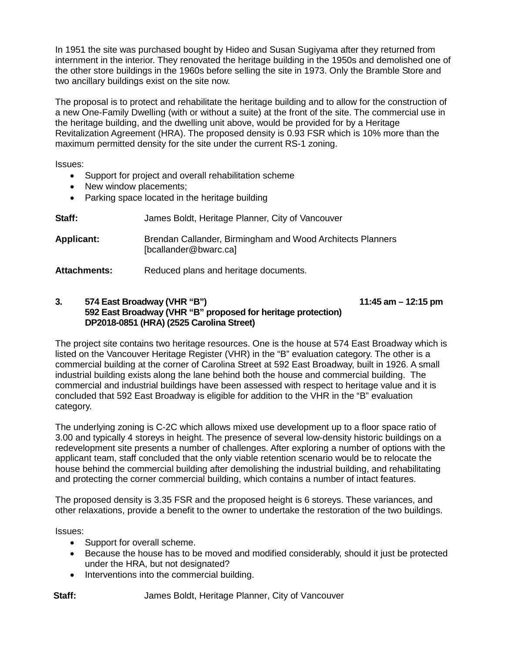In 1951 the site was purchased bought by Hideo and Susan Sugiyama after they returned from internment in the interior. They renovated the heritage building in the 1950s and demolished one of the other store buildings in the 1960s before selling the site in 1973. Only the Bramble Store and two ancillary buildings exist on the site now.

The proposal is to protect and rehabilitate the heritage building and to allow for the construction of a new One-Family Dwelling (with or without a suite) at the front of the site. The commercial use in the heritage building, and the dwelling unit above, would be provided for by a Heritage Revitalization Agreement (HRA). The proposed density is 0.93 FSR which is 10% more than the maximum permitted density for the site under the current RS-1 zoning.

Issues:

- Support for project and overall rehabilitation scheme
- New window placements;
- Parking space located in the heritage building

| Staff: | James Boldt, Heritage Planner, City of Vancouver |  |  |
|--------|--------------------------------------------------|--|--|
|        |                                                  |  |  |

**Applicant:** Brendan Callander, Birmingham and Wood Architects Planners [bcallander@bwarc.ca]

Attachments: Reduced plans and heritage documents.

#### **3. 574 East Broadway (VHR "B") 11:45 am – 12:15 pm 592 East Broadway (VHR "B" proposed for heritage protection) DP2018-0851 (HRA) (2525 Carolina Street)**

The project site contains two heritage resources. One is the house at 574 East Broadway which is listed on the Vancouver Heritage Register (VHR) in the "B" evaluation category. The other is a commercial building at the corner of Carolina Street at 592 East Broadway, built in 1926. A small industrial building exists along the lane behind both the house and commercial building. The commercial and industrial buildings have been assessed with respect to heritage value and it is concluded that 592 East Broadway is eligible for addition to the VHR in the "B" evaluation category.

The underlying zoning is C-2C which allows mixed use development up to a floor space ratio of 3.00 and typically 4 storeys in height. The presence of several low-density historic buildings on a redevelopment site presents a number of challenges. After exploring a number of options with the applicant team, staff concluded that the only viable retention scenario would be to relocate the house behind the commercial building after demolishing the industrial building, and rehabilitating and protecting the corner commercial building, which contains a number of intact features.

The proposed density is 3.35 FSR and the proposed height is 6 storeys. These variances, and other relaxations, provide a benefit to the owner to undertake the restoration of the two buildings.

Issues:

- Support for overall scheme.
- Because the house has to be moved and modified considerably, should it just be protected under the HRA, but not designated?
- Interventions into the commercial building.

**Staff:** James Boldt, Heritage Planner, City of Vancouver